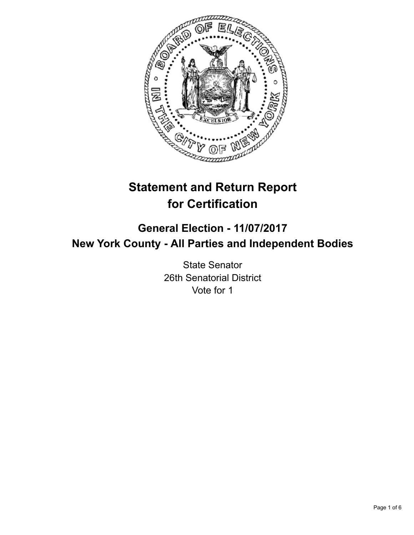

# **Statement and Return Report for Certification**

## **General Election - 11/07/2017 New York County - All Parties and Independent Bodies**

State Senator 26th Senatorial District Vote for 1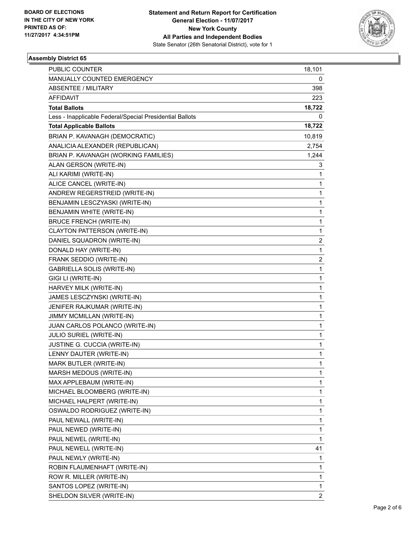

### **Assembly District 65**

| <b>PUBLIC COUNTER</b>                                    | 18,101                  |
|----------------------------------------------------------|-------------------------|
| MANUALLY COUNTED EMERGENCY                               | 0                       |
| ABSENTEE / MILITARY                                      | 398                     |
| AFFIDAVIT                                                | 223                     |
| <b>Total Ballots</b>                                     | 18,722                  |
| Less - Inapplicable Federal/Special Presidential Ballots | 0                       |
| <b>Total Applicable Ballots</b>                          | 18,722                  |
| BRIAN P. KAVANAGH (DEMOCRATIC)                           | 10,819                  |
| ANALICIA ALEXANDER (REPUBLICAN)                          | 2,754                   |
| BRIAN P. KAVANAGH (WORKING FAMILIES)                     | 1,244                   |
| ALAN GERSON (WRITE-IN)                                   | 3                       |
| ALI KARIMI (WRITE-IN)                                    | 1                       |
| ALICE CANCEL (WRITE-IN)                                  | 1                       |
| ANDREW REGERSTREID (WRITE-IN)                            | 1                       |
| BENJAMIN LESCZYASKI (WRITE-IN)                           | 1                       |
| BENJAMIN WHITE (WRITE-IN)                                | 1                       |
| <b>BRUCE FRENCH (WRITE-IN)</b>                           | 1                       |
| CLAYTON PATTERSON (WRITE-IN)                             | 1                       |
| DANIEL SQUADRON (WRITE-IN)                               | 2                       |
| DONALD HAY (WRITE-IN)                                    | 1                       |
| FRANK SEDDIO (WRITE-IN)                                  | $\overline{\mathbf{c}}$ |
| <b>GABRIELLA SOLIS (WRITE-IN)</b>                        | 1                       |
| GIGI LI (WRITE-IN)                                       | 1                       |
| HARVEY MILK (WRITE-IN)                                   | 1                       |
| JAMES LESCZYNSKI (WRITE-IN)                              | 1                       |
| JENIFER RAJKUMAR (WRITE-IN)                              | 1                       |
| JIMMY MCMILLAN (WRITE-IN)                                | 1                       |
| JUAN CARLOS POLANCO (WRITE-IN)                           | 1                       |
| <b>JULIO SURIEL (WRITE-IN)</b>                           | 1                       |
| JUSTINE G. CUCCIA (WRITE-IN)                             | 1                       |
| LENNY DAUTER (WRITE-IN)                                  | 1                       |
| MARK BUTLER (WRITE-IN)                                   | 1                       |
| MARSH MEDOUS (WRITE-IN)                                  | 1                       |
| MAX APPLEBAUM (WRITE-IN)                                 | 1                       |
| MICHAEL BLOOMBERG (WRITE-IN)                             | 1                       |
| MICHAEL HALPERT (WRITE-IN)                               | 1                       |
| OSWALDO RODRIGUEZ (WRITE-IN)                             | 1                       |
| PAUL NEWALL (WRITE-IN)                                   | 1                       |
| PAUL NEWED (WRITE-IN)                                    | 1                       |
| PAUL NEWEL (WRITE-IN)                                    | 1                       |
| PAUL NEWELL (WRITE-IN)                                   | 41                      |
| PAUL NEWLY (WRITE-IN)                                    | 1                       |
| ROBIN FLAUMENHAFT (WRITE-IN)                             | 1                       |
| ROW R. MILLER (WRITE-IN)                                 | 1                       |
| SANTOS LOPEZ (WRITE-IN)                                  | 1                       |
| SHELDON SILVER (WRITE-IN)                                | $\overline{2}$          |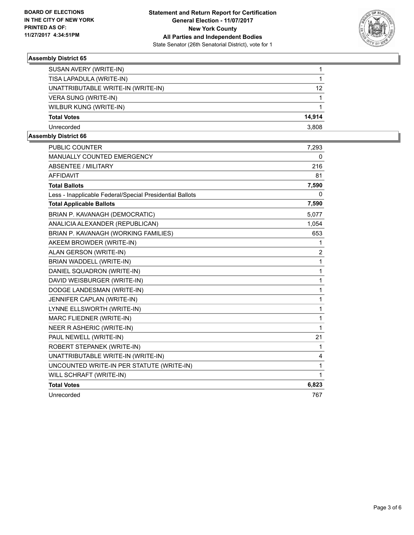

### **Assembly District 65**

| SUSAN AVERY (WRITE-IN)             |                   |
|------------------------------------|-------------------|
| TISA LAPADULA (WRITE-IN)           |                   |
| UNATTRIBUTABLE WRITE-IN (WRITE-IN) | $12 \overline{ }$ |
| <b>VERA SUNG (WRITE-IN)</b>        |                   |
| WILBUR KUNG (WRITE-IN)             |                   |
| <b>Total Votes</b>                 | 14.914            |
| Unrecorded                         | 3.808             |

#### **Assembly District 66**

| PUBLIC COUNTER                                           | 7,293          |
|----------------------------------------------------------|----------------|
| <b>MANUALLY COUNTED EMERGENCY</b>                        | 0              |
| <b>ABSENTEE / MILITARY</b>                               | 216            |
| <b>AFFIDAVIT</b>                                         | 81             |
| <b>Total Ballots</b>                                     | 7,590          |
| Less - Inapplicable Federal/Special Presidential Ballots | 0              |
| <b>Total Applicable Ballots</b>                          | 7,590          |
| BRIAN P. KAVANAGH (DEMOCRATIC)                           | 5,077          |
| ANALICIA ALEXANDER (REPUBLICAN)                          | 1,054          |
| BRIAN P. KAVANAGH (WORKING FAMILIES)                     | 653            |
| AKEEM BROWDER (WRITE-IN)                                 | 1              |
| ALAN GERSON (WRITE-IN)                                   | $\overline{2}$ |
| BRIAN WADDELL (WRITE-IN)                                 | 1              |
| DANIEL SQUADRON (WRITE-IN)                               | 1              |
| DAVID WEISBURGER (WRITE-IN)                              | 1              |
| DODGE LANDESMAN (WRITE-IN)                               | 1              |
| JENNIFER CAPLAN (WRITE-IN)                               | 1              |
| LYNNE ELLSWORTH (WRITE-IN)                               | 1              |
| MARC FLIEDNER (WRITE-IN)                                 | 1              |
| <b>NEER R ASHERIC (WRITE-IN)</b>                         | 1              |
| PAUL NEWELL (WRITE-IN)                                   | 21             |
| ROBERT STEPANEK (WRITE-IN)                               | 1              |
| UNATTRIBUTABLE WRITE-IN (WRITE-IN)                       | 4              |
| UNCOUNTED WRITE-IN PER STATUTE (WRITE-IN)                | 1              |
| WILL SCHRAFT (WRITE-IN)                                  | 1              |
| <b>Total Votes</b>                                       | 6,823          |
| Unrecorded                                               | 767            |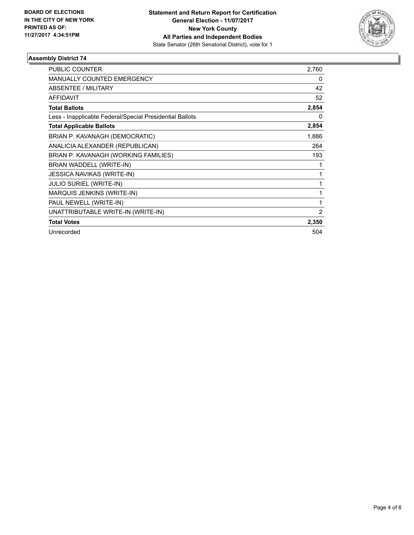

### **Assembly District 74**

| <b>PUBLIC COUNTER</b>                                    | 2,760 |
|----------------------------------------------------------|-------|
| <b>MANUALLY COUNTED EMERGENCY</b>                        | 0     |
|                                                          |       |
| ABSENTEE / MILITARY                                      | 42    |
| <b>AFFIDAVIT</b>                                         | 52    |
| <b>Total Ballots</b>                                     | 2,854 |
| Less - Inapplicable Federal/Special Presidential Ballots | 0     |
| <b>Total Applicable Ballots</b>                          | 2,854 |
| BRIAN P. KAVANAGH (DEMOCRATIC)                           | 1,886 |
| ANALICIA ALEXANDER (REPUBLICAN)                          | 264   |
| BRIAN P. KAVANAGH (WORKING FAMILIES)                     | 193   |
| BRIAN WADDELL (WRITE-IN)                                 |       |
| <b>JESSICA NAVIKAS (WRITE-IN)</b>                        |       |
| <b>JULIO SURIEL (WRITE-IN)</b>                           |       |
| MARQUIS JENKINS (WRITE-IN)                               | 1     |
| PAUL NEWELL (WRITE-IN)                                   | 1     |
| UNATTRIBUTABLE WRITE-IN (WRITE-IN)                       | 2     |
| <b>Total Votes</b>                                       | 2,350 |
| Unrecorded                                               | 504   |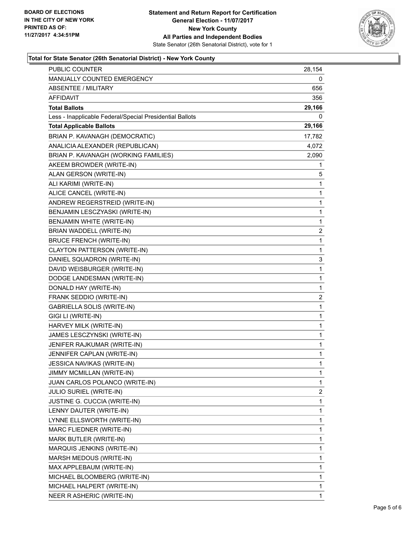

#### **Total for State Senator (26th Senatorial District) - New York County**

| <b>PUBLIC COUNTER</b>                                    | 28,154         |
|----------------------------------------------------------|----------------|
| MANUALLY COUNTED EMERGENCY                               | 0              |
| <b>ABSENTEE / MILITARY</b>                               | 656            |
| AFFIDAVIT                                                | 356            |
| <b>Total Ballots</b>                                     | 29,166         |
| Less - Inapplicable Federal/Special Presidential Ballots | 0              |
| <b>Total Applicable Ballots</b>                          | 29,166         |
| BRIAN P. KAVANAGH (DEMOCRATIC)                           | 17,782         |
| ANALICIA ALEXANDER (REPUBLICAN)                          | 4,072          |
| BRIAN P. KAVANAGH (WORKING FAMILIES)                     | 2,090          |
| AKEEM BROWDER (WRITE-IN)                                 | 1              |
| ALAN GERSON (WRITE-IN)                                   | 5              |
| ALI KARIMI (WRITE-IN)                                    | 1              |
| ALICE CANCEL (WRITE-IN)                                  | 1              |
| ANDREW REGERSTREID (WRITE-IN)                            | 1              |
| BENJAMIN LESCZYASKI (WRITE-IN)                           | 1              |
| BENJAMIN WHITE (WRITE-IN)                                | 1              |
| BRIAN WADDELL (WRITE-IN)                                 | 2              |
| <b>BRUCE FRENCH (WRITE-IN)</b>                           | 1              |
| CLAYTON PATTERSON (WRITE-IN)                             | 1              |
| DANIEL SQUADRON (WRITE-IN)                               | 3              |
| DAVID WEISBURGER (WRITE-IN)                              | 1              |
| DODGE LANDESMAN (WRITE-IN)                               | 1              |
| DONALD HAY (WRITE-IN)                                    | 1              |
| FRANK SEDDIO (WRITE-IN)                                  | 2              |
| <b>GABRIELLA SOLIS (WRITE-IN)</b>                        | 1              |
| GIGI LI (WRITE-IN)                                       | 1              |
| HARVEY MILK (WRITE-IN)                                   | 1              |
| JAMES LESCZYNSKI (WRITE-IN)                              | 1              |
| JENIFER RAJKUMAR (WRITE-IN)                              | 1              |
| JENNIFER CAPLAN (WRITE-IN)                               | 1              |
| JESSICA NAVIKAS (WRITE-IN)                               | 1              |
| JIMMY MCMILLAN (WRITE-IN)                                | 1              |
| JUAN CARLOS POLANCO (WRITE-IN)                           | 1              |
| <b>JULIO SURIEL (WRITE-IN)</b>                           | $\overline{2}$ |
| JUSTINE G. CUCCIA (WRITE-IN)                             | 1              |
| LENNY DAUTER (WRITE-IN)                                  | 1              |
| LYNNE ELLSWORTH (WRITE-IN)                               | 1              |
| MARC FLIEDNER (WRITE-IN)                                 | 1              |
| MARK BUTLER (WRITE-IN)                                   | 1              |
| MARQUIS JENKINS (WRITE-IN)                               | 1              |
| MARSH MEDOUS (WRITE-IN)                                  | 1              |
| MAX APPLEBAUM (WRITE-IN)                                 | 1              |
| MICHAEL BLOOMBERG (WRITE-IN)                             | 1              |
| MICHAEL HALPERT (WRITE-IN)                               | 1              |
| NEER R ASHERIC (WRITE-IN)                                | 1              |